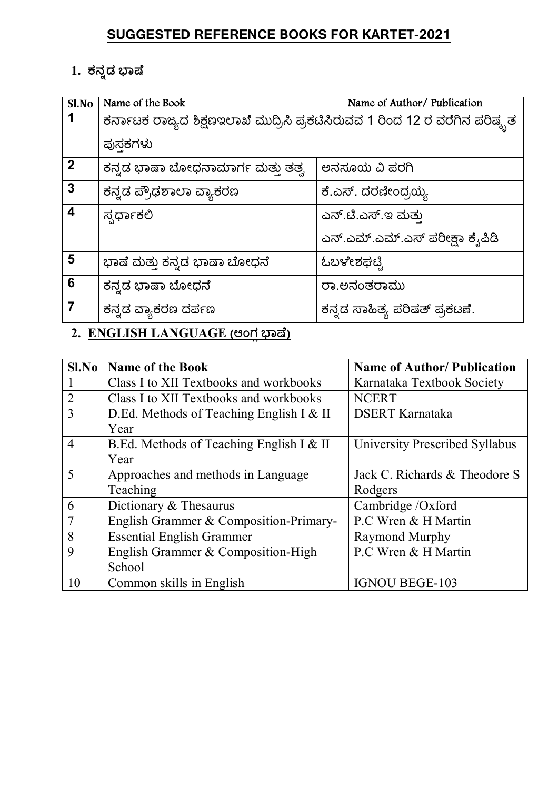### **SUGGESTED REFERENCE BOOKS FOR KARTET-2021**

# 1. <u>ಕನ್ನಡ ಭಾಷೆ</u>

| Sl.No                   | Name of the Book                                                             | Name of Author/Publication     |  |
|-------------------------|------------------------------------------------------------------------------|--------------------------------|--|
|                         | ಕರ್ನಾಟಕ ರಾಜ್ಯದ ಶಿಕ್ಷಣಇಲಾಖೆ ಮುದ್ರಿಸಿ ಪ್ರಕಟಿಸಿರುವವ 1 ರಿಂದ 12 ರ ವರೆಗಿನ ಪರಿಷ್ಕೃತ |                                |  |
|                         | ಪುಸಕಗಳು                                                                      |                                |  |
| $\overline{2}$          | ಕನ್ನಡ ಭಾಷಾ ಬೋಧನಾಮಾರ್ಗ ಮತ್ತು ತತ್ವ                                             | ಅನಸೂಯ ವಿ ಪರಗಿ                  |  |
| $\mathbf{3}$            | ಕನ್ನಡ ಪ್ರೌಢಶಾಲಾ ವ್ಯಾಕರಣ                                                      | ಕೆ.ಎಸ್. ದರಣೀಂದ್ರಯ್ಯ            |  |
| $\overline{\mathbf{4}}$ | ಸ್ಪರ್ಧಾಕಲಿ                                                                   | ಎನ್.ಟಿ.ಎಸ್.ಇ ಮತು               |  |
|                         |                                                                              | ಎನ್.ಎಮ್.ಎಮ್.ಎಸ್ ಪರೀಕ್ಷಾ ಕೈಪಿಡಿ |  |
| 5                       | ಭಾಷೆ ಮತ್ತು ಕನ್ನಡ ಭಾಷಾ ಬೋಧನೆ                                                  | ಓಬಳೇಶಘಟ್ಟಿ                     |  |
| 6                       | ಕನ್ನಡ ಭಾಷಾ ಬೋಧನೆ                                                             | ರಾ.ಅನಂತರಾಮು                    |  |
| $\overline{\mathbf{7}}$ | ಕನ್ನಡ ವ್ಯಾಕರಣ ದರ್ಪಣ                                                          | ಕನ್ನಡ ಸಾಹಿತ್ಯ ಪರಿಷತ್ ಪ್ರಕಟಣೆ.  |  |
|                         |                                                                              |                                |  |

#### <u>2. ENGLISH LANGUAGE (ಆಂಗ ಭಾಷೆ)</u>

| Sl.No          | <b>Name of the Book</b>                  | <b>Name of Author/ Publication</b> |
|----------------|------------------------------------------|------------------------------------|
|                | Class I to XII Textbooks and workbooks   | Karnataka Textbook Society         |
| $\overline{2}$ | Class I to XII Textbooks and workbooks   | <b>NCERT</b>                       |
| $\overline{3}$ | D.Ed. Methods of Teaching English I & II | <b>DSERT</b> Karnataka             |
|                | Year                                     |                                    |
| $\overline{4}$ | B.Ed. Methods of Teaching English I & II | University Prescribed Syllabus     |
|                | Year                                     |                                    |
| 5              | Approaches and methods in Language       | Jack C. Richards & Theodore S      |
|                | Teaching                                 | Rodgers                            |
| 6              | Dictionary $&$ Thesaurus                 | Cambridge /Oxford                  |
| $\overline{7}$ | English Grammer & Composition-Primary-   | P.C Wren & H Martin                |
| 8              | <b>Essential English Grammer</b>         | Raymond Murphy                     |
| 9              | English Grammer & Composition-High       | P.C Wren & H Martin                |
|                | School                                   |                                    |
| 10             | Common skills in English                 | <b>IGNOU BEGE-103</b>              |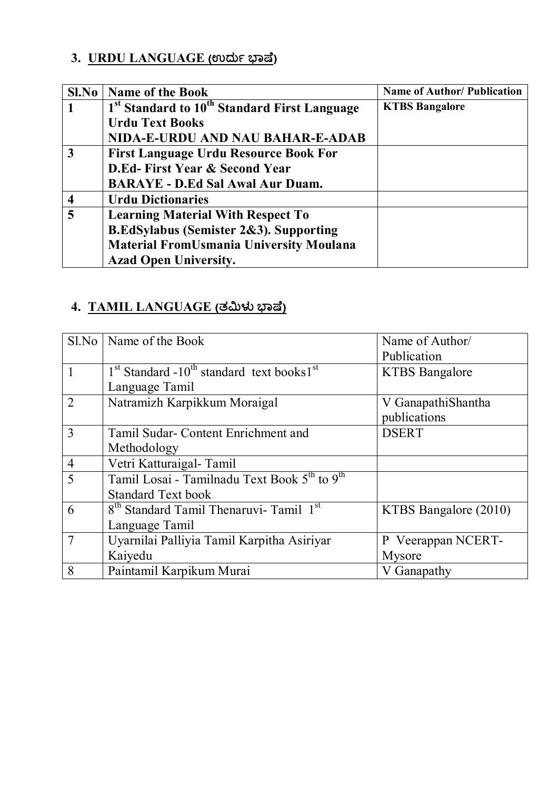# **3. URDU LANGUAGE (ಉದು §ಾ°ೆ)**

|   | <b>Sl.No</b>   <b>Name of the Book</b>                               | <b>Name of Author/ Publication</b> |
|---|----------------------------------------------------------------------|------------------------------------|
|   | 1 <sup>st</sup> Standard to 10 <sup>th</sup> Standard First Language | <b>KTBS Bangalore</b>              |
|   | <b>Urdu Text Books</b>                                               |                                    |
|   | NIDA-E-URDU AND NAU BAHAR-E-ADAB                                     |                                    |
| 3 | <b>First Language Urdu Resource Book For</b>                         |                                    |
|   | <b>D.Ed-First Year &amp; Second Year</b>                             |                                    |
|   | <b>BARAYE - D.Ed Sal Awal Aur Duam.</b>                              |                                    |
|   | <b>Urdu Dictionaries</b>                                             |                                    |
| 5 | <b>Learning Material With Respect To</b>                             |                                    |
|   | <b>B.EdSylabus (Semister 2&amp;3). Supporting</b>                    |                                    |
|   | <b>Material FromUsmania University Moulana</b>                       |                                    |
|   | <b>Azad Open University.</b>                                         |                                    |

## **4. TAMIL LANGUAGE (ತIJಳ §ಾ°ೆ)**

| $S1$ No        | Name of the Book                                                     | Name of Author/       |
|----------------|----------------------------------------------------------------------|-----------------------|
|                |                                                                      | Publication           |
| $\mathbf{1}$   | $1st$ Standard -10 <sup>th</sup> standard text books1 <sup>st</sup>  | <b>KTBS</b> Bangalore |
|                | Language Tamil                                                       |                       |
| $\overline{2}$ | Natramizh Karpikkum Moraigal                                         | V GanapathiShantha    |
|                |                                                                      | publications          |
| 3              | Tamil Sudar- Content Enrichment and                                  | <b>DSERT</b>          |
|                | Methodology                                                          |                       |
| $\overline{4}$ | Vetri Katturaigal- Tamil                                             |                       |
| 5              | Tamil Losai - Tamilnadu Text Book 5 <sup>th</sup> to 9 <sup>th</sup> |                       |
|                | <b>Standard Text book</b>                                            |                       |
| 6              | 8 <sup>th</sup> Standard Tamil Thenaruvi- Tamil 1 <sup>st</sup>      | KTBS Bangalore (2010) |
|                | Language Tamil                                                       |                       |
| $\overline{7}$ | Uyarnilai Palliyia Tamil Karpitha Asiriyar                           | P Veerappan NCERT-    |
|                | Kaiyedu                                                              | Mysore                |
| 8              | Paintamil Karpikum Murai                                             | V Ganapathy           |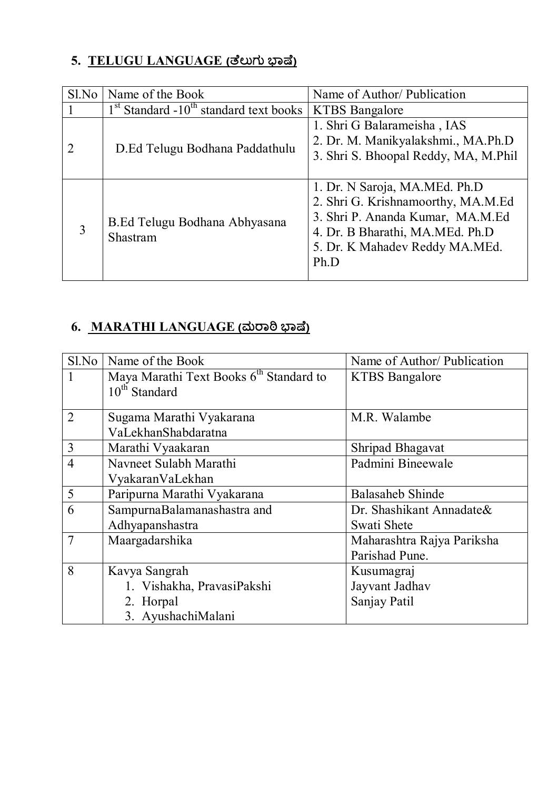### **5. TELUGU LANGUAGE (ೆಲುಗು §ಾ°ೆ)**

| Sl.No | Name of the Book                                     | Name of Author/ Publication                                                                                                                                                          |  |
|-------|------------------------------------------------------|--------------------------------------------------------------------------------------------------------------------------------------------------------------------------------------|--|
|       | $1st$ Standard -10 <sup>th</sup> standard text books | <b>KTBS</b> Bangalore                                                                                                                                                                |  |
|       | D.Ed Telugu Bodhana Paddathulu                       | 1. Shri G Balarameisha, IAS<br>2. Dr. M. Manikyalakshmi., MA.Ph.D<br>3. Shri S. Bhoopal Reddy, MA, M.Phil                                                                            |  |
| 3     | B.Ed Telugu Bodhana Abhyasana<br>Shastram            | 1. Dr. N Saroja, MA.MEd. Ph.D<br>2. Shri G. Krishnamoorthy, MA.M.Ed<br>3. Shri P. Ananda Kumar, MA.M.Ed<br>4. Dr. B Bharathi, MA.MEd. Ph.D<br>5. Dr. K Mahadev Reddy MA.MEd.<br>Ph.D |  |

# $6.$  **MARATHI LANGUAGE** (ಮರಾಠಿ ಭಾಷೆ)

| S1.No          | Name of the Book                                    | Name of Author/ Publication |
|----------------|-----------------------------------------------------|-----------------------------|
|                | Maya Marathi Text Books 6 <sup>th</sup> Standard to | <b>KTBS</b> Bangalore       |
|                | $10^{th}$ Standard                                  |                             |
| $\overline{2}$ | Sugama Marathi Vyakarana                            | M.R. Walambe                |
|                | VaLekhanShabdaratna                                 |                             |
| $\overline{3}$ | Marathi Vyaakaran                                   | Shripad Bhagavat            |
| $\overline{4}$ | Navneet Sulabh Marathi                              | Padmini Bineewale           |
|                | VyakaranVaLekhan                                    |                             |
| 5              | Paripurna Marathi Vyakarana                         | <b>Balasaheb Shinde</b>     |
| 6              | SampurnaBalamanashastra and                         | Dr. Shashikant Annadate&    |
|                | Adhyapanshastra                                     | Swati Shete                 |
| $\overline{7}$ | Maargadarshika                                      | Maharashtra Rajya Pariksha  |
|                |                                                     | Parishad Pune.              |
| 8              | Kavya Sangrah                                       | Kusumagraj                  |
|                | 1. Vishakha, PravasiPakshi                          | Jayvant Jadhav              |
|                | 2. Horpal                                           | Sanjay Patil                |
|                | 3. AyushachiMalani                                  |                             |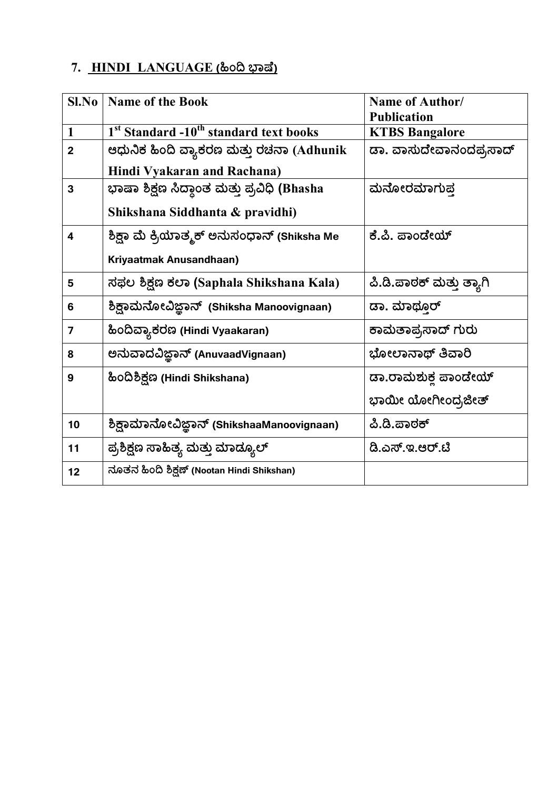#### 7. HINDI LANGUAGE (ಹಿಂದಿ ಭಾಷೆ)

| Sl.No          | <b>Name of the Book</b>                                        | <b>Name of Author/</b>   |
|----------------|----------------------------------------------------------------|--------------------------|
|                |                                                                | <b>Publication</b>       |
| 1              | 1 <sup>st</sup> Standard -10 <sup>th</sup> standard text books | <b>KTBS Bangalore</b>    |
| $\overline{2}$ | ಆಧುನಿಕ ಹಿಂದಿ ವ್ಯಾಕರಣ ಮತ್ತು ರಚನಾ (Adhunik                       | ಡಾ. ವಾಸುದೇವಾನಂದಪ್ರಸಾದ್   |
|                | Hindi Vyakaran and Rachana)                                    |                          |
| $\mathbf{3}$   | ಭಾಷಾ ಶಿಕ್ಷಣ ಸಿದ್ಧಾಂತ ಮತ್ತು ಪ್ರವಿಧಿ (Bhasha                     | ಮನೋರಮಾಗುಪ                |
|                | Shikshana Siddhanta & pravidhi)                                |                          |
| 4              | ಶಿಕ್ಷಾ ಮೆ ಕ್ರಿಯಾತ್ಮಕ್ ಅನುಸಂಧಾನ್ (Shiksha Me                    | ಕೆ.ಪಿ. ಪಾಂಡೇಯ್           |
|                | Kriyaatmak Anusandhaan)                                        |                          |
| 5              | ಸಫಲ ಶಿಕ್ಷಣ ಕಲಾ (Saphala Shikshana Kala)                        | ಪಿ.ಡಿ.ಪಾಠಕ್ ಮತ್ತು ತ್ಯಾಗಿ |
| 6              | ಶಿಕ್ಷಾಮನೋವಿಜ್ಞಾನ್ (Shiksha Manoovignaan)                       | ಡಾ. ಮಾಥ್ತೂರ್             |
| 7              | ಹಿಂದಿವ್ಯಾಕರಣ (Hindi Vyaakaran)                                 | ಕಾಮತಾಪ್ರಸಾದ್ ಗುರು        |
| 8              | ಅನುವಾದವಿಜ್ಞಾನ್ (AnuvaadVignaan)                                | ಭೋಲಾನಾಥ್ ತಿವಾರಿ          |
| 9              | ಹಿಂದಿಶಿಕ್ಷಣ (Hindi Shikshana)                                  | ಡಾ.ರಾಮಶುಕ್ತ ಪಾಂಡೇಯ್      |
|                |                                                                | ಭಾಯೀ ಯೋಗೀಂದ್ರಜೀತ್        |
| 10             | ಶಿಕ್ಷಾಮಾನೋವಿಜ್ಞಾನ್ (ShikshaaManoovignaan)                      | ಪಿ.ಡಿ.ಪಾಠಕ್              |
| 11             | ಪ್ರಶಿಕ್ಷಣ ಸಾಹಿತ್ಯ ಮತ್ತು ಮಾಡ್ಯೂಲ್                               | ಡಿ.ಎಸ್.ಇ.ಆರ್.ಟಿ          |
| 12             | ನೂತನ ಹಿಂದಿ ಶಿಕ್ಷಣ್ (Nootan Hindi Shikshan)                     |                          |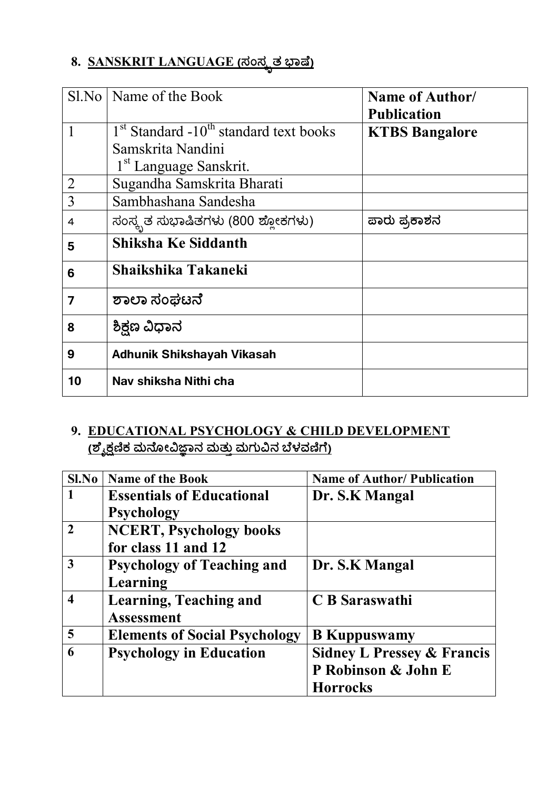# $8.$  **SANSKRIT LANGUAGE** (ಸಂಸ್ಕೃತ ಭಾಷೆ)

|    | Sl.No   Name of the Book                                                  | Name of Author/<br><b>Publication</b> |
|----|---------------------------------------------------------------------------|---------------------------------------|
| 1  | $1st$ Standard -10 <sup>th</sup> standard text books<br>Samskrita Nandini | <b>KTBS Bangalore</b>                 |
|    | 1 <sup>st</sup> Language Sanskrit.                                        |                                       |
| 2  | Sugandha Samskrita Bharati                                                |                                       |
| 3  | Sambhashana Sandesha                                                      |                                       |
| 4  | ಸಂಸ್ಕೃತ ಸುಭಾಷಿತಗಳು (800 ಶ್ಲೋಕಗಳು)                                         | ಪಾರು ಪ್ರಕಾಶನ                          |
| 5  | <b>Shiksha Ke Siddanth</b>                                                |                                       |
| 6  | Shaikshika Takaneki                                                       |                                       |
| 7  | ಶಾಲಾ ಸಂಘಟನೆ                                                               |                                       |
| 8  | ಶಿಕ್ಷಣ ವಿಧಾನ                                                              |                                       |
| 9  | <b>Adhunik Shikshayah Vikasah</b>                                         |                                       |
| 10 | Nav shiksha Nithi cha                                                     |                                       |

### **9. EDUCATIONAL PSYCHOLOGY & CHILD DEVELOPMENT** <u>(ಶೈಕ್ಷಣಿಕ ಮನೋವಿಜ್ಞಾನ ಮತ್ತು ಮಗುವಿನ ಬಳವಣಿಗ)</u>

| Sl.No          | <b>Name of the Book</b>              | <b>Name of Author/Publication</b>     |
|----------------|--------------------------------------|---------------------------------------|
| 1              | <b>Essentials of Educational</b>     | Dr. S.K Mangal                        |
|                | <b>Psychology</b>                    |                                       |
| $\overline{2}$ | <b>NCERT, Psychology books</b>       |                                       |
|                | for class 11 and 12                  |                                       |
| 3              | <b>Psychology of Teaching and</b>    | Dr. S.K Mangal                        |
|                | Learning                             |                                       |
| 4              | <b>Learning, Teaching and</b>        | C B Saraswathi                        |
|                | <b>Assessment</b>                    |                                       |
| 5              | <b>Elements of Social Psychology</b> | <b>B</b> Kuppuswamy                   |
| 6              | <b>Psychology in Education</b>       | <b>Sidney L Pressey &amp; Francis</b> |
|                |                                      | P Robinson & John E                   |
|                |                                      | <b>Horrocks</b>                       |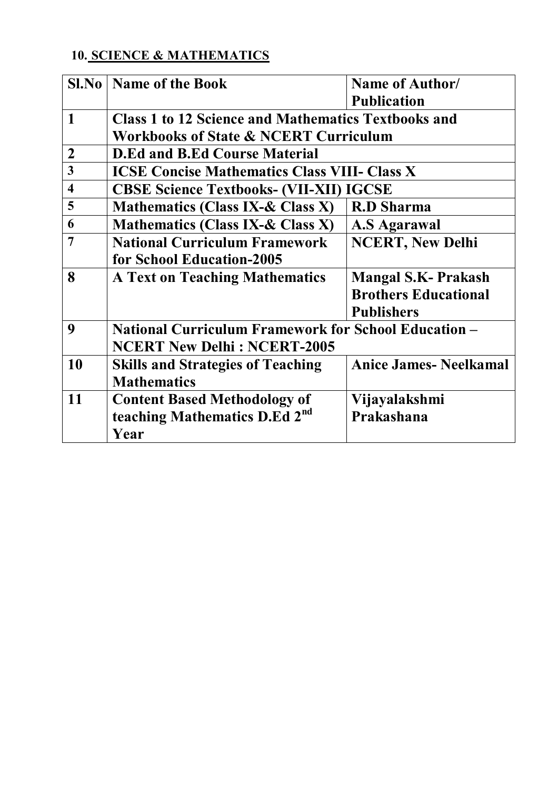### **10. SCIENCE & MATHEMATICS**

| Sl.No                   | Name of the Book                                            | Name of Author/               |
|-------------------------|-------------------------------------------------------------|-------------------------------|
|                         |                                                             | <b>Publication</b>            |
| 1                       | <b>Class 1 to 12 Science and Mathematics Textbooks and</b>  |                               |
|                         | <b>Workbooks of State &amp; NCERT Curriculum</b>            |                               |
| $\overline{2}$          | <b>D.Ed and B.Ed Course Material</b>                        |                               |
| 3                       | <b>ICSE Concise Mathematics Class VIII- Class X</b>         |                               |
| $\overline{\mathbf{4}}$ | <b>CBSE Science Textbooks- (VII-XII) IGCSE</b>              |                               |
| 5                       | <b>Mathematics (Class IX-&amp; Class X)</b>                 | <b>R.D Sharma</b>             |
| 6                       | <b>Mathematics (Class IX-&amp; Class X)</b>                 | <b>A.S Agarawal</b>           |
| 7                       | <b>National Curriculum Framework</b>                        | <b>NCERT, New Delhi</b>       |
|                         | for School Education-2005                                   |                               |
| 8                       | <b>A Text on Teaching Mathematics</b>                       | <b>Mangal S.K- Prakash</b>    |
|                         |                                                             | <b>Brothers Educational</b>   |
|                         |                                                             | <b>Publishers</b>             |
| 9                       | <b>National Curriculum Framework for School Education -</b> |                               |
|                         | <b>NCERT New Delhi: NCERT-2005</b>                          |                               |
| 10                      | <b>Skills and Strategies of Teaching</b>                    | <b>Anice James- Neelkamal</b> |
|                         | <b>Mathematics</b>                                          |                               |
| 11                      | <b>Content Based Methodology of</b>                         | Vijayalakshmi                 |
|                         | teaching Mathematics D.Ed 2 <sup>nd</sup>                   | Prakashana                    |
|                         | Year                                                        |                               |